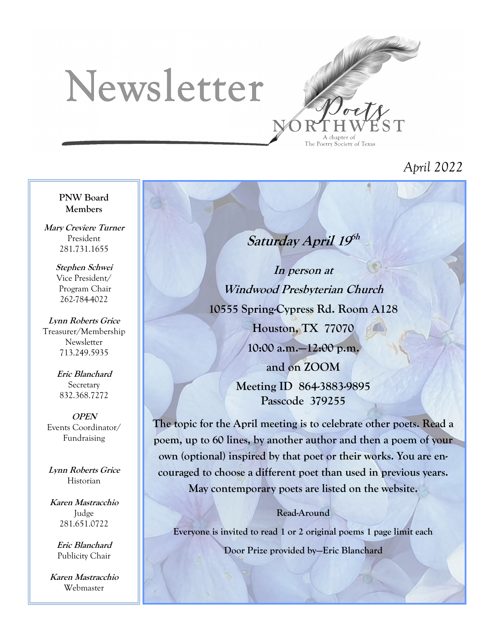# Newsletter



## *April 2022*

**PNW Board Members**

**Mary Creviere Turner** President 281.731.1655

> **Stephen Schwei** Vice President/ Program Chair 262-784-4022

**Lynn Roberts Grice** Treasurer/Membership Newsletter 713.249.5935

> **Eric Blanchard Secretary** 832.368.7272

**OPEN** Events Coordinator/ Fundraising

**Lynn Roberts Grice** Historian

**Karen Mastracchio** Judge 281.651.0722

> **Eric Blanchard** Publicity Chair

**Karen Mastracchio** Webmaster

## Saturday April 19<sup>6h</sup>

**In person at Windwood Presbyterian Church 10555 Spring-Cypress Rd. Room A128 Houston, TX 77070 10:00 a.m.—12:00 p.m. and on ZOOM Meeting ID 864-3883-9895 Passcode 379255**

**The topic for the April meeting is to celebrate other poets. Read a poem, up to 60 lines, by another author and then a poem of your own (optional) inspired by that poet or their works. You are encouraged to choose a different poet than used in previous years.** 

**May contemporary poets are listed on the website.**

#### **Read-Around**

**Everyone is invited to read 1 or 2 original poems 1 page limit each Door Prize provided by—Eric Blanchard**